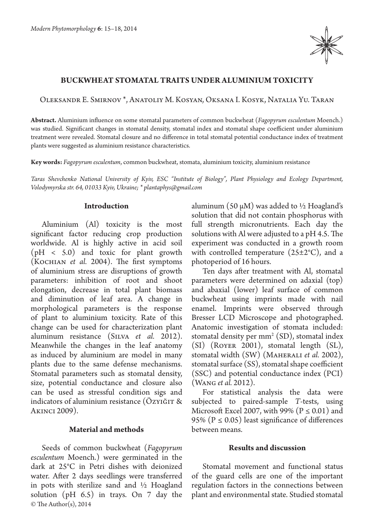

## **BUCKWHEAT STOMATAL TRAITS UNDER ALUMINIUM TOXICITY**

Oleksandr E. Smirnov \*, Anatoliy M. Kosyan, Oksana I. Kosyk, Natalia Yu. Taran

**Abstract.** Aluminium influence on some stomatal parameters of common buckwheat (*Fagopyrum esculentum* Moench.) was studied. Significant changes in stomatal density, stomatal index and stomatal shape coefficient under aluminium treatment were revealed. Stomatal closure and no difference in total stomatal potential conductance index of treatment plants were suggested as aluminium resistance characteristics.

**Key words:** *Fagopyrum esculentum*, common buckwheat, stomata, aluminium toxicity, aluminium resistance

*Taras Shevchenko National University of Kyiv, ESC "Institute of Biology", Plant Physiology and Ecology Department, Volodymyrska str. 64, 01033 Kyiv, Ukraine; \* plantaphys@gmail.com*

#### **Introduction**

Aluminium (Al) toxicity is the most significant factor reducing crop production worldwide. Al is highly active in acid soil  $(pH < 5.0)$  and toxic for plant growth (Kochian *et al.* 2004). The first symptoms of aluminium stress are disruptions of growth parameters: inhibition of root and shoot elongation, decrease in total plant biomass and diminution of leaf area. A change in morphological parameters is the response of plant to aluminium toxicity. Rate of this change can be used for characterization plant aluminum resistance (Silva *et al.* 2012). Meanwhile the changes in the leaf anatomy as induced by aluminium are model in many plants due to the same defense mechanisms. Stomatal parameters such as stomatal density, size, potential conductance and closure also can be used as stressful condition sigs and indicators of aluminium resistance ( $\ddot{\text{O}}$ zyiğit & Akinci 2009).

## **Material and methods**

© The Author(s), 2014 Seeds of common buckwheat (*Fagopyrum esculentum* Moench.) were germinated in the dark at 25°C in Petri dishes with deionized water. After 2 days seedlings were transferred in pots with sterilize sand and ½ Hoagland solution (pH 6.5) in trays. On 7 day the

aluminum (50  $\mu$ M) was added to  $\frac{1}{2}$  Hoagland's solution that did not contain phosphorus with full strength micronutrients. Each day the solutions with Al were adjusted to a pH 4.5. The experiment was conducted in a growth room with controlled temperature  $(25\pm2^{\circ}C)$ , and a photoperiod of 16 hours.

Ten days after treatment with Al, stomatal parameters were determined on adaxial (top) and abaxial (lower) leaf surface of common buckwheat using imprints made with nail enamel. Imprints were observed through Bresser LCD Microscope and photographed. Anatomic investigation of stomata included: stomatal density per  $mm^2(SD)$ , stomatal index (SI) (Royer 2001), stomatal length (SL), stomatal width (SW) (Maherali *et al.* 2002), stomatal surface (SS), stomatal shape coefficient (SSC) and potential conductance index (PCI) (Wang *et al.* 2012).

For statistical analysis the data were subjected to paired-sample *T*-tests, using Microsoft Excel 2007, with 99% ( $P \le 0.01$ ) and 95% ( $P \le 0.05$ ) least significance of differences between means.

# **Results and discussion**

Stomatal movement and functional status of the guard cells are one of the important regulation factors in the connections between plant and environmental state. Studied stomatal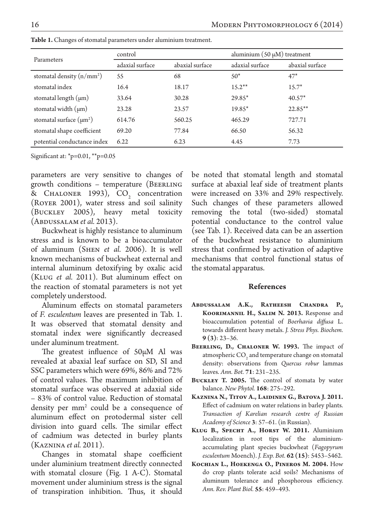| Parameters                   | control         |                 | aluminium $(50 \mu M)$ treatment |                 |
|------------------------------|-----------------|-----------------|----------------------------------|-----------------|
|                              | adaxial surface | abaxial surface | adaxial surface                  | abaxial surface |
| stomatal density $(n/mm^2)$  | 55              | 68              | $50*$                            | $47*$           |
| stomatal index               | 16.4            | 18.17           | $15.2**$                         | $15.7*$         |
| stomatal length $(\mu m)$    | 33.64           | 30.28           | 29.85*                           | $40.57*$        |
| stomatal width $(\mu m)$     | 23.28           | 23.57           | 19.85*                           | $22.85***$      |
| stomatal surface $(\mu m^2)$ | 614.76          | 560.25          | 465.29                           | 727.71          |
| stomatal shape coefficient   | 69.20           | 77.84           | 66.50                            | 56.32           |
| potential conductance index  | 6.22            | 6.23            | 4.45                             | 7.73            |

**Table 1.** Changes of stomatal parameters under aluminium treatment.

Significant at: \*p=0.01, \*\*p=0.05

parameters are very sensitive to changes of growth conditions – temperature (BEERLING & CHALONER 1993),  $CO<sub>2</sub>$  concentration (Royer 2001), water stress and soil salinity (Buckley 2005), heavy metal toxicity (Abdussalam *et al.* 2013).

Buckwheat is highly resistance to aluminum stress and is known to be a bioaccumulator of aluminum (Shen *et al.* 2006). It is well known mechanisms of buckwheat external and internal aluminum detoxifying by oxalic acid (Klug *et al.* 2011). But aluminum effect on the reaction of stomatal parameters is not yet completely understood.

Aluminum effects on stomatal parameters of *F. esculentum* leaves are presented in Tab. 1. It was observed that stomatal density and stomatal index were significantly decreased under aluminum treatment.

The greatest influence of 50µM Al was revealed at abaxial leaf surface on SD, SI and SSC parameters which were 69%, 86% and 72% of control values. The maximum inhibition of stomatal surface was observed at adaxial side – 83% of control value. Reduction of stomatal density per mm<sup>2</sup> could be a consequence of aluminum effect on protodermal sister cell division into guard cells. The similar effect of cadmium was detected in burley plants (Kaznina *et al.* 2011).

Changes in stomatal shape coefficient under aluminium treatment directly connected with stomatal closure (Fig. 1 A-C). Stomatal movement under aluminium stress is the signal of transpiration inhibition. Thus, it should be noted that stomatal length and stomatal surface at abaxial leaf side of treatment plants were increased on 33% and 29% respectively. Such changes of these parameters allowed removing the total (two-sided) stomatal potential conductance to the control value (see Tab. 1). Received data can be an assertion of the buckwheat resistance to aluminium stress that confirmed by activation of adaptive mechanisms that control functional status of the stomatal apparatus.

## **References**

- **Abdussalam A.K., Ratheesh Chandra P., Koorimannil H., Salim N. 2013.** Response and bioaccumulation potential of *Boerhavia diffusa*  L. towards different heavy metals. *J. Stress Phys. Biochem.*  **9 (3)**: 23–36.
- **Beerling, D., Chaloner W. 1993.** The impact of atmospheric  $\mathrm{CO}_2$  and temperature change on stomatal density: observations from *Quercus robur* lammas leaves. *Ann. Bot.* **71**: 231–235.
- **Buckley T. 2005.** The control of stomata by water balance. *New Phytol.* **168**: 275–292.
- **Kaznina N., Titov A., Laidinen G., Batova J. 2011.**  Effect of cadmium on water relations in barley plants. *Transaction of Karelian research centre of Russian Academy of Science* **3**: 57–61. (in Russian).
- **Klug B., Specht A., Horst W. 2011.** Aluminium localization in root tips of the aluminiumaccumulating plant species buckwheat (*Fagopyrum esculentum* Moench). *J. Exp. Bot.* **62 (15)**: 5453–5462.
- **Kochian L., Hoekenga O., Pineros M. 2004.** How do crop plants tolerate acid soils? Mechanisms of aluminum tolerance and phosphorous efficiency. *Ann. Rev. Plant Biol.* **55**: 459–493.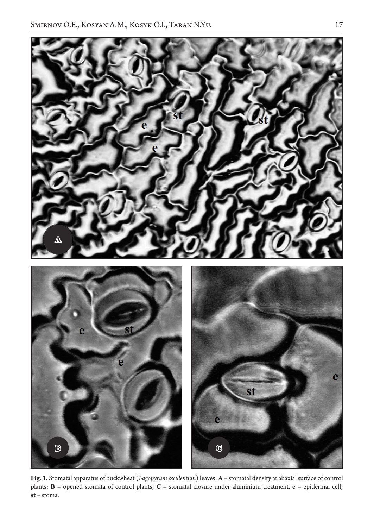

**Fig. 1.** Stomatal apparatus of buckwheat (*Fagopyrum esculentum*) leaves: **A** – stomatal density at abaxial surface of control plants; **B** – opened stomata of control plants; **C** – stomatal closure under aluminium treatment. **e** – epidermal cell; **st** – stoma.